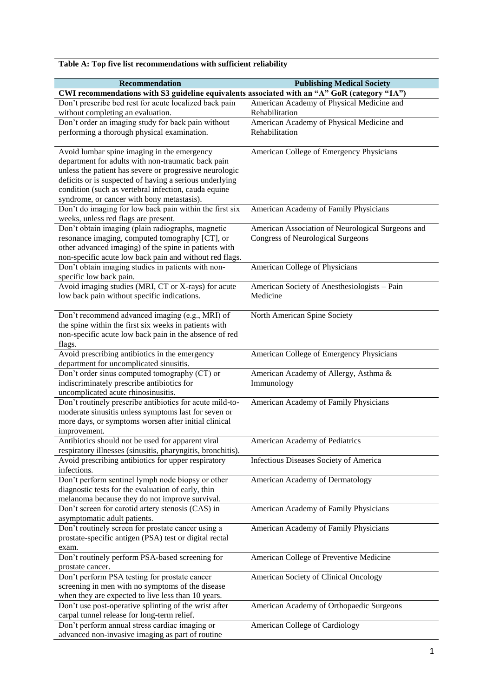|  |  | Table A: Top five list recommendations with sufficient reliability |  |  |  |
|--|--|--------------------------------------------------------------------|--|--|--|
|--|--|--------------------------------------------------------------------|--|--|--|

| <b>Recommendation</b>                                                                                    | <b>Publishing Medical Society</b>                 |
|----------------------------------------------------------------------------------------------------------|---------------------------------------------------|
| CWI recommendations with S3 guideline equivalents associated with an "A" GoR (category "1A")             |                                                   |
| Don't prescribe bed rest for acute localized back pain                                                   | American Academy of Physical Medicine and         |
| without completing an evaluation.                                                                        | Rehabilitation                                    |
| Don't order an imaging study for back pain without                                                       | American Academy of Physical Medicine and         |
| performing a thorough physical examination.                                                              | Rehabilitation                                    |
|                                                                                                          |                                                   |
| Avoid lumbar spine imaging in the emergency                                                              | American College of Emergency Physicians          |
| department for adults with non-traumatic back pain                                                       |                                                   |
| unless the patient has severe or progressive neurologic                                                  |                                                   |
| deficits or is suspected of having a serious underlying                                                  |                                                   |
| condition (such as vertebral infection, cauda equine                                                     |                                                   |
| syndrome, or cancer with bony metastasis).                                                               |                                                   |
| Don't do imaging for low back pain within the first six                                                  | American Academy of Family Physicians             |
| weeks, unless red flags are present.                                                                     |                                                   |
| Don't obtain imaging (plain radiographs, magnetic                                                        | American Association of Neurological Surgeons and |
| resonance imaging, computed tomography [CT], or                                                          | <b>Congress of Neurological Surgeons</b>          |
| other advanced imaging) of the spine in patients with                                                    |                                                   |
| non-specific acute low back pain and without red flags.                                                  |                                                   |
| Don't obtain imaging studies in patients with non-                                                       | American College of Physicians                    |
| specific low back pain.                                                                                  |                                                   |
| Avoid imaging studies (MRI, CT or X-rays) for acute                                                      | American Society of Anesthesiologists - Pain      |
| low back pain without specific indications.                                                              | Medicine                                          |
|                                                                                                          |                                                   |
| Don't recommend advanced imaging (e.g., MRI) of<br>the spine within the first six weeks in patients with | North American Spine Society                      |
| non-specific acute low back pain in the absence of red                                                   |                                                   |
| flags.                                                                                                   |                                                   |
| Avoid prescribing antibiotics in the emergency                                                           | American College of Emergency Physicians          |
| department for uncomplicated sinusitis.                                                                  |                                                   |
| Don't order sinus computed tomography (CT) or                                                            | American Academy of Allergy, Asthma &             |
| indiscriminately prescribe antibiotics for                                                               | Immunology                                        |
| uncomplicated acute rhinosinusitis.                                                                      |                                                   |
| Don't routinely prescribe antibiotics for acute mild-to-                                                 | American Academy of Family Physicians             |
| moderate sinusitis unless symptoms last for seven or                                                     |                                                   |
| more days, or symptoms worsen after initial clinical                                                     |                                                   |
| improvement.                                                                                             |                                                   |
| Antibiotics should not be used for apparent viral                                                        | American Academy of Pediatrics                    |
| respiratory illnesses (sinusitis, pharyngitis, bronchitis).                                              |                                                   |
| Avoid prescribing antibiotics for upper respiratory                                                      | Infectious Diseases Society of America            |
| infections.                                                                                              |                                                   |
| Don't perform sentinel lymph node biopsy or other                                                        | American Academy of Dermatology                   |
| diagnostic tests for the evaluation of early, thin                                                       |                                                   |
| melanoma because they do not improve survival.                                                           |                                                   |
| Don't screen for carotid artery stenosis (CAS) in                                                        | American Academy of Family Physicians             |
| asymptomatic adult patients.                                                                             |                                                   |
| Don't routinely screen for prostate cancer using a                                                       | American Academy of Family Physicians             |
| prostate-specific antigen (PSA) test or digital rectal<br>exam.                                          |                                                   |
| Don't routinely perform PSA-based screening for                                                          | American College of Preventive Medicine           |
| prostate cancer.                                                                                         |                                                   |
| Don't perform PSA testing for prostate cancer                                                            | American Society of Clinical Oncology             |
| screening in men with no symptoms of the disease                                                         |                                                   |
| when they are expected to live less than 10 years.                                                       |                                                   |
| $\overline{Don't}$ use post-operative splinting of the wrist after                                       | American Academy of Orthopaedic Surgeons          |
| carpal tunnel release for long-term relief.                                                              |                                                   |
| Don't perform annual stress cardiac imaging or                                                           | American College of Cardiology                    |
| advanced non-invasive imaging as part of routine                                                         |                                                   |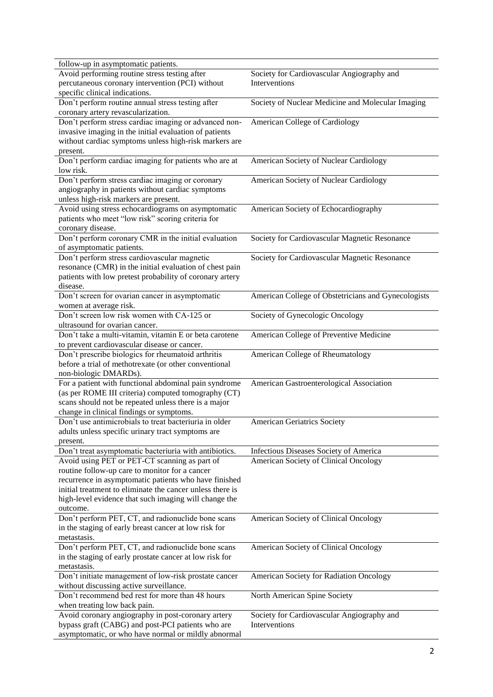| follow-up in asymptomatic patients.                       |                                                     |
|-----------------------------------------------------------|-----------------------------------------------------|
| Avoid performing routine stress testing after             | Society for Cardiovascular Angiography and          |
| percutaneous coronary intervention (PCI) without          | Interventions                                       |
| specific clinical indications.                            |                                                     |
| Don't perform routine annual stress testing after         | Society of Nuclear Medicine and Molecular Imaging   |
| coronary artery revascularization.                        |                                                     |
| Don't perform stress cardiac imaging or advanced non-     | American College of Cardiology                      |
| invasive imaging in the initial evaluation of patients    |                                                     |
| without cardiac symptoms unless high-risk markers are     |                                                     |
| present.                                                  |                                                     |
| Don't perform cardiac imaging for patients who are at     | American Society of Nuclear Cardiology              |
| low risk.                                                 |                                                     |
| Don't perform stress cardiac imaging or coronary          | American Society of Nuclear Cardiology              |
| angiography in patients without cardiac symptoms          |                                                     |
|                                                           |                                                     |
| unless high-risk markers are present.                     |                                                     |
| Avoid using stress echocardiograms on asymptomatic        | American Society of Echocardiography                |
| patients who meet "low risk" scoring criteria for         |                                                     |
| coronary disease.                                         |                                                     |
| Don't perform coronary CMR in the initial evaluation      | Society for Cardiovascular Magnetic Resonance       |
| of asymptomatic patients.                                 |                                                     |
| Don't perform stress cardiovascular magnetic              | Society for Cardiovascular Magnetic Resonance       |
| resonance (CMR) in the initial evaluation of chest pain   |                                                     |
| patients with low pretest probability of coronary artery  |                                                     |
| disease.                                                  |                                                     |
| Don't screen for ovarian cancer in asymptomatic           | American College of Obstetricians and Gynecologists |
| women at average risk.                                    |                                                     |
| Don't screen low risk women with CA-125 or                | Society of Gynecologic Oncology                     |
| ultrasound for ovarian cancer.                            |                                                     |
| Don't take a multi-vitamin, vitamin E or beta carotene    | American College of Preventive Medicine             |
| to prevent cardiovascular disease or cancer.              |                                                     |
| Don't prescribe biologics for rheumatoid arthritis        | American College of Rheumatology                    |
| before a trial of methotrexate (or other conventional     |                                                     |
| non-biologic DMARDs).                                     |                                                     |
| For a patient with functional abdominal pain syndrome     | American Gastroenterological Association            |
| (as per ROME III criteria) computed tomography (CT)       |                                                     |
| scans should not be repeated unless there is a major      |                                                     |
| change in clinical findings or symptoms.                  |                                                     |
| Don't use antimicrobials to treat bacteriuria in older    | <b>American Geriatrics Society</b>                  |
| adults unless specific urinary tract symptoms are         |                                                     |
| present.                                                  |                                                     |
| Don't treat asymptomatic bacteriuria with antibiotics.    | Infectious Diseases Society of America              |
| Avoid using PET or PET-CT scanning as part of             |                                                     |
|                                                           | American Society of Clinical Oncology               |
| routine follow-up care to monitor for a cancer            |                                                     |
| recurrence in asymptomatic patients who have finished     |                                                     |
| initial treatment to eliminate the cancer unless there is |                                                     |
| high-level evidence that such imaging will change the     |                                                     |
| outcome.                                                  |                                                     |
| Don't perform PET, CT, and radionuclide bone scans        | American Society of Clinical Oncology               |
| in the staging of early breast cancer at low risk for     |                                                     |
| metastasis.                                               |                                                     |
| Don't perform PET, CT, and radionuclide bone scans        | American Society of Clinical Oncology               |
| in the staging of early prostate cancer at low risk for   |                                                     |
| metastasis.                                               |                                                     |
| Don't initiate management of low-risk prostate cancer     | American Society for Radiation Oncology             |
| without discussing active surveillance.                   |                                                     |
| Don't recommend bed rest for more than 48 hours           | North American Spine Society                        |
| when treating low back pain.                              |                                                     |
| Avoid coronary angiography in post-coronary artery        | Society for Cardiovascular Angiography and          |
| bypass graft (CABG) and post-PCI patients who are         | Interventions                                       |
| asymptomatic, or who have normal or mildly abnormal       |                                                     |
|                                                           |                                                     |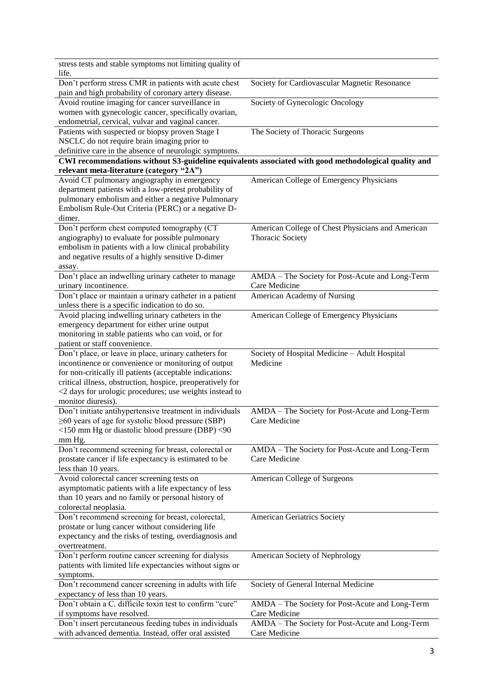| stress tests and stable symptoms not limiting quality of                                                       |                                                                                                      |
|----------------------------------------------------------------------------------------------------------------|------------------------------------------------------------------------------------------------------|
| life.                                                                                                          |                                                                                                      |
| Don't perform stress CMR in patients with acute chest                                                          | Society for Cardiovascular Magnetic Resonance                                                        |
| pain and high probability of coronary artery disease.                                                          |                                                                                                      |
| Avoid routine imaging for cancer surveillance in                                                               | Society of Gynecologic Oncology                                                                      |
| women with gynecologic cancer, specifically ovarian,                                                           |                                                                                                      |
| endometrial, cervical, vulvar and vaginal cancer.                                                              |                                                                                                      |
| Patients with suspected or biopsy proven Stage I                                                               | The Society of Thoracic Surgeons                                                                     |
| NSCLC do not require brain imaging prior to                                                                    |                                                                                                      |
| definitive care in the absence of neurologic symptoms.                                                         |                                                                                                      |
|                                                                                                                | CWI recommendations without S3-guideline equivalents associated with good methodological quality and |
| relevant meta-literature (category "2A")                                                                       |                                                                                                      |
| Avoid CT pulmonary angiography in emergency<br>department patients with a low-pretest probability of           | American College of Emergency Physicians                                                             |
| pulmonary embolism and either a negative Pulmonary                                                             |                                                                                                      |
| Embolism Rule-Out Criteria (PERC) or a negative D-                                                             |                                                                                                      |
| dimer.                                                                                                         |                                                                                                      |
| Don't perform chest computed tomography (CT                                                                    | American College of Chest Physicians and American                                                    |
| angiography) to evaluate for possible pulmonary                                                                | <b>Thoracic Society</b>                                                                              |
| embolism in patients with a low clinical probability                                                           |                                                                                                      |
| and negative results of a highly sensitive D-dimer                                                             |                                                                                                      |
| assay.                                                                                                         |                                                                                                      |
| Don't place an indwelling urinary catheter to manage                                                           | AMDA - The Society for Post-Acute and Long-Term                                                      |
| urinary incontinence.                                                                                          | Care Medicine                                                                                        |
| Don't place or maintain a urinary catheter in a patient                                                        | American Academy of Nursing                                                                          |
| unless there is a specific indication to do so.                                                                |                                                                                                      |
| Avoid placing indwelling urinary catheters in the                                                              | American College of Emergency Physicians                                                             |
| emergency department for either urine output                                                                   |                                                                                                      |
| monitoring in stable patients who can void, or for                                                             |                                                                                                      |
| patient or staff convenience.                                                                                  |                                                                                                      |
| Don't place, or leave in place, urinary catheters for                                                          | Society of Hospital Medicine - Adult Hospital                                                        |
| incontinence or convenience or monitoring of output                                                            | Medicine                                                                                             |
| for non-critically ill patients (acceptable indications:                                                       |                                                                                                      |
| critical illness, obstruction, hospice, preoperatively for                                                     |                                                                                                      |
| <2 days for urologic procedures; use weights instead to                                                        |                                                                                                      |
| monitor diuresis).                                                                                             |                                                                                                      |
|                                                                                                                |                                                                                                      |
| Don't initiate antihypertensive treatment in individuals                                                       | AMDA - The Society for Post-Acute and Long-Term                                                      |
| $\geq 60$ years of age for systolic blood pressure (SBP)                                                       | Care Medicine                                                                                        |
| <150 mm Hg or diastolic blood pressure (DBP) <90                                                               |                                                                                                      |
| mm Hg.                                                                                                         |                                                                                                      |
| Don't recommend screening for breast, colorectal or                                                            | AMDA - The Society for Post-Acute and Long-Term                                                      |
| prostate cancer if life expectancy is estimated to be                                                          | Care Medicine                                                                                        |
| less than 10 years.                                                                                            |                                                                                                      |
| Avoid colorectal cancer screening tests on                                                                     | American College of Surgeons                                                                         |
| asymptomatic patients with a life expectancy of less                                                           |                                                                                                      |
| than 10 years and no family or personal history of                                                             |                                                                                                      |
| colorectal neoplasia.                                                                                          |                                                                                                      |
| Don't recommend screening for breast, colorectal,                                                              | <b>American Geriatrics Society</b>                                                                   |
| prostate or lung cancer without considering life                                                               |                                                                                                      |
| expectancy and the risks of testing, overdiagnosis and<br>overtreatment.                                       |                                                                                                      |
| Don't perform routine cancer screening for dialysis                                                            | American Society of Nephrology                                                                       |
| patients with limited life expectancies without signs or                                                       |                                                                                                      |
| symptoms.                                                                                                      |                                                                                                      |
| Don't recommend cancer screening in adults with life                                                           | Society of General Internal Medicine                                                                 |
| expectancy of less than 10 years.                                                                              |                                                                                                      |
| Don't obtain a C. difficile toxin test to confirm "cure"                                                       | AMDA - The Society for Post-Acute and Long-Term                                                      |
| if symptoms have resolved.                                                                                     | Care Medicine                                                                                        |
| Don't insert percutaneous feeding tubes in individuals<br>with advanced dementia. Instead, offer oral assisted | AMDA - The Society for Post-Acute and Long-Term<br>Care Medicine                                     |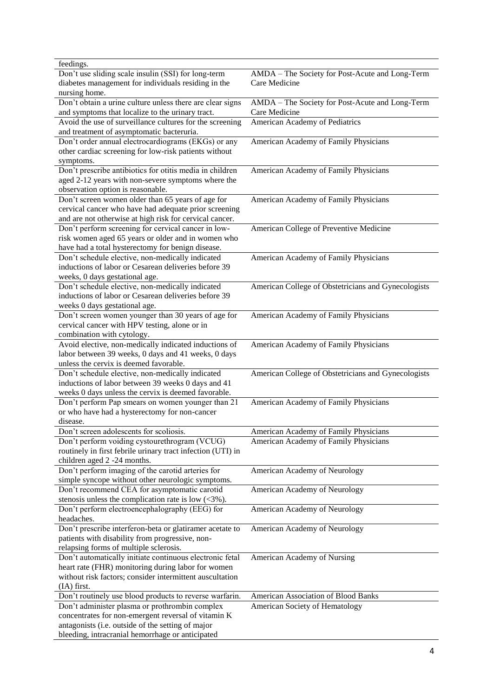| feedings.                                                   |                                                     |
|-------------------------------------------------------------|-----------------------------------------------------|
| Don't use sliding scale insulin (SSI) for long-term         | AMDA - The Society for Post-Acute and Long-Term     |
| diabetes management for individuals residing in the         | Care Medicine                                       |
| nursing home.                                               |                                                     |
| Don't obtain a urine culture unless there are clear signs   | AMDA - The Society for Post-Acute and Long-Term     |
| and symptoms that localize to the urinary tract.            | Care Medicine                                       |
| Avoid the use of surveillance cultures for the screening    | American Academy of Pediatrics                      |
| and treatment of asymptomatic bacteruria.                   |                                                     |
|                                                             |                                                     |
| Don't order annual electrocardiograms (EKGs) or any         | American Academy of Family Physicians               |
| other cardiac screening for low-risk patients without       |                                                     |
| symptoms.                                                   |                                                     |
| Don't prescribe antibiotics for otitis media in children    | American Academy of Family Physicians               |
| aged 2-12 years with non-severe symptoms where the          |                                                     |
| observation option is reasonable.                           |                                                     |
| Don't screen women older than 65 years of age for           | American Academy of Family Physicians               |
| cervical cancer who have had adequate prior screening       |                                                     |
| and are not otherwise at high risk for cervical cancer.     |                                                     |
| Don't perform screening for cervical cancer in low-         | American College of Preventive Medicine             |
| risk women aged 65 years or older and in women who          |                                                     |
| have had a total hysterectomy for benign disease.           |                                                     |
| Don't schedule elective, non-medically indicated            | American Academy of Family Physicians               |
| inductions of labor or Cesarean deliveries before 39        |                                                     |
|                                                             |                                                     |
| weeks, 0 days gestational age.                              |                                                     |
| Don't schedule elective, non-medically indicated            | American College of Obstetricians and Gynecologists |
| inductions of labor or Cesarean deliveries before 39        |                                                     |
| weeks 0 days gestational age.                               |                                                     |
| Don't screen women younger than 30 years of age for         | American Academy of Family Physicians               |
| cervical cancer with HPV testing, alone or in               |                                                     |
| combination with cytology.                                  |                                                     |
| Avoid elective, non-medically indicated inductions of       | American Academy of Family Physicians               |
| labor between 39 weeks, 0 days and 41 weeks, 0 days         |                                                     |
| unless the cervix is deemed favorable.                      |                                                     |
| Don't schedule elective, non-medically indicated            | American College of Obstetricians and Gynecologists |
| inductions of labor between 39 weeks 0 days and 41          |                                                     |
| weeks 0 days unless the cervix is deemed favorable.         |                                                     |
| Don't perform Pap smears on women younger than 21           | American Academy of Family Physicians               |
| or who have had a hysterectomy for non-cancer               |                                                     |
| disease.                                                    |                                                     |
| Don't screen adolescents for scoliosis.                     | American Academy of Family Physicians               |
| Don't perform voiding cystourethrogram (VCUG)               | American Academy of Family Physicians               |
|                                                             |                                                     |
| routinely in first febrile urinary tract infection (UTI) in |                                                     |
| children aged 2 -24 months.                                 |                                                     |
| Don't perform imaging of the carotid arteries for           | American Academy of Neurology                       |
| simple syncope without other neurologic symptoms.           |                                                     |
| Don't recommend CEA for asymptomatic carotid                | American Academy of Neurology                       |
| stenosis unless the complication rate is low $(\leq 3\%)$ . |                                                     |
| Don't perform electroencephalography (EEG) for              | American Academy of Neurology                       |
| headaches.                                                  |                                                     |
| Don't prescribe interferon-beta or glatiramer acetate to    | American Academy of Neurology                       |
| patients with disability from progressive, non-             |                                                     |
| relapsing forms of multiple sclerosis.                      |                                                     |
| Don't automatically initiate continuous electronic fetal    | American Academy of Nursing                         |
| heart rate (FHR) monitoring during labor for women          |                                                     |
| without risk factors; consider intermittent auscultation    |                                                     |
| (IA) first.                                                 |                                                     |
| Don't routinely use blood products to reverse warfarin.     | American Association of Blood Banks                 |
|                                                             |                                                     |
| Don't administer plasma or prothrombin complex              | American Society of Hematology                      |
| concentrates for non-emergent reversal of vitamin K         |                                                     |
| antagonists (i.e. outside of the setting of major           |                                                     |
| bleeding, intracranial hemorrhage or anticipated            |                                                     |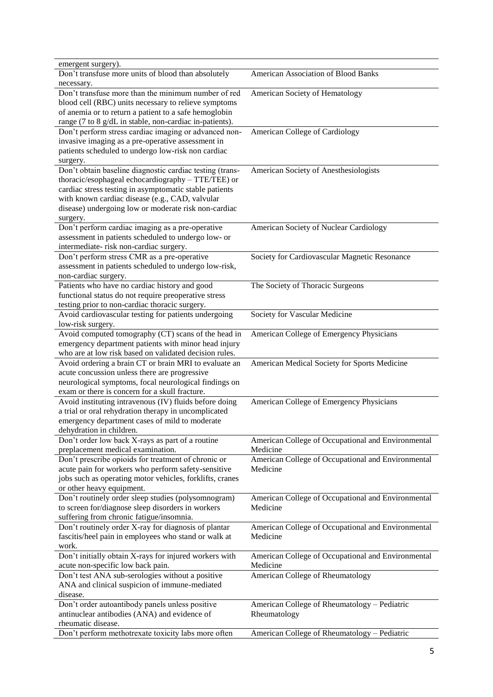| emergent surgery).                                                   |                                                    |
|----------------------------------------------------------------------|----------------------------------------------------|
| Don't transfuse more units of blood than absolutely                  | American Association of Blood Banks                |
| necessary.                                                           |                                                    |
| Don't transfuse more than the minimum number of red                  | American Society of Hematology                     |
| blood cell (RBC) units necessary to relieve symptoms                 |                                                    |
| of anemia or to return a patient to a safe hemoglobin                |                                                    |
| range (7 to 8 g/dL in stable, non-cardiac in-patients).              |                                                    |
| Don't perform stress cardiac imaging or advanced non-                | American College of Cardiology                     |
| invasive imaging as a pre-operative assessment in                    |                                                    |
| patients scheduled to undergo low-risk non cardiac                   |                                                    |
|                                                                      |                                                    |
| surgery.<br>Don't obtain baseline diagnostic cardiac testing (trans- | American Society of Anesthesiologists              |
| thoracic/esophageal echocardiography - TTE/TEE) or                   |                                                    |
|                                                                      |                                                    |
| cardiac stress testing in asymptomatic stable patients               |                                                    |
| with known cardiac disease (e.g., CAD, valvular                      |                                                    |
| disease) undergoing low or moderate risk non-cardiac                 |                                                    |
| surgery.                                                             |                                                    |
| Don't perform cardiac imaging as a pre-operative                     | American Society of Nuclear Cardiology             |
| assessment in patients scheduled to undergo low- or                  |                                                    |
| intermediate- risk non-cardiac surgery.                              |                                                    |
| Don't perform stress CMR as a pre-operative                          | Society for Cardiovascular Magnetic Resonance      |
| assessment in patients scheduled to undergo low-risk,                |                                                    |
| non-cardiac surgery.                                                 |                                                    |
| Patients who have no cardiac history and good                        | The Society of Thoracic Surgeons                   |
| functional status do not require preoperative stress                 |                                                    |
| testing prior to non-cardiac thoracic surgery.                       |                                                    |
| Avoid cardiovascular testing for patients undergoing                 | Society for Vascular Medicine                      |
| low-risk surgery.                                                    |                                                    |
| Avoid computed tomography (CT) scans of the head in                  | American College of Emergency Physicians           |
| emergency department patients with minor head injury                 |                                                    |
| who are at low risk based on validated decision rules.               |                                                    |
| Avoid ordering a brain CT or brain MRI to evaluate an                | American Medical Society for Sports Medicine       |
| acute concussion unless there are progressive                        |                                                    |
| neurological symptoms, focal neurological findings on                |                                                    |
| exam or there is concern for a skull fracture.                       |                                                    |
| Avoid instituting intravenous (IV) fluids before doing               | American College of Emergency Physicians           |
| a trial or oral rehydration therapy in uncomplicated                 |                                                    |
| emergency department cases of mild to moderate                       |                                                    |
|                                                                      |                                                    |
| dehydration in children.                                             |                                                    |
| Don't order low back X-rays as part of a routine                     | American College of Occupational and Environmental |
| preplacement medical examination.                                    | Medicine                                           |
| Don't prescribe opioids for treatment of chronic or                  | American College of Occupational and Environmental |
| acute pain for workers who perform safety-sensitive                  | Medicine                                           |
| jobs such as operating motor vehicles, forklifts, cranes             |                                                    |
| or other heavy equipment.                                            |                                                    |
| Don't routinely order sleep studies (polysomnogram)                  | American College of Occupational and Environmental |
| to screen for/diagnose sleep disorders in workers                    | Medicine                                           |
| suffering from chronic fatigue/insomnia.                             |                                                    |
| Don't routinely order X-ray for diagnosis of plantar                 | American College of Occupational and Environmental |
| fascitis/heel pain in employees who stand or walk at                 | Medicine                                           |
| work.                                                                |                                                    |
| Don't initially obtain X-rays for injured workers with               | American College of Occupational and Environmental |
| acute non-specific low back pain.                                    | Medicine                                           |
| Don't test ANA sub-serologies without a positive                     | American College of Rheumatology                   |
| ANA and clinical suspicion of immune-mediated                        |                                                    |
| disease.                                                             |                                                    |
| Don't order autoantibody panels unless positive                      | American College of Rheumatology - Pediatric       |
| antinuclear antibodies (ANA) and evidence of                         | Rheumatology                                       |
| rheumatic disease.                                                   |                                                    |
| Don't perform methotrexate toxicity labs more often                  |                                                    |
|                                                                      | American College of Rheumatology - Pediatric       |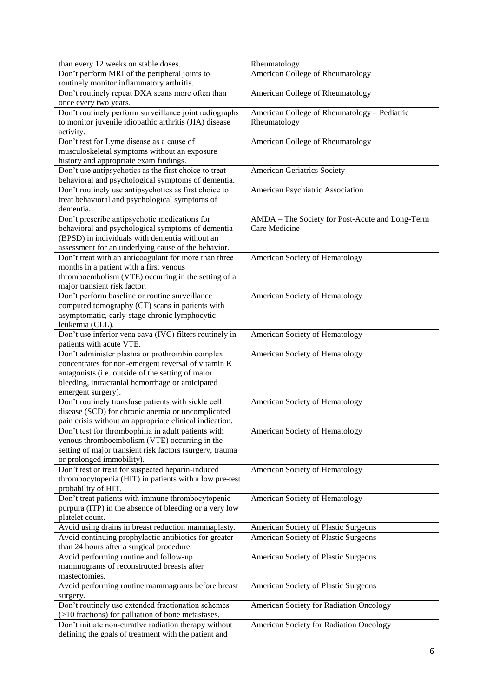| than every 12 weeks on stable doses.                                                       | Rheumatology                                    |
|--------------------------------------------------------------------------------------------|-------------------------------------------------|
| Don't perform MRI of the peripheral joints to<br>routinely monitor inflammatory arthritis. | American College of Rheumatology                |
| Don't routinely repeat DXA scans more often than<br>once every two years.                  | American College of Rheumatology                |
| Don't routinely perform surveillance joint radiographs                                     | American College of Rheumatology - Pediatric    |
| to monitor juvenile idiopathic arthritis (JIA) disease                                     | Rheumatology                                    |
|                                                                                            |                                                 |
| activity.<br>Don't test for Lyme disease as a cause of                                     |                                                 |
|                                                                                            | American College of Rheumatology                |
| musculoskeletal symptoms without an exposure                                               |                                                 |
| history and appropriate exam findings.                                                     |                                                 |
| Don't use antipsychotics as the first choice to treat                                      | <b>American Geriatrics Society</b>              |
| behavioral and psychological symptoms of dementia.                                         |                                                 |
| Don't routinely use antipsychotics as first choice to                                      | American Psychiatric Association                |
| treat behavioral and psychological symptoms of                                             |                                                 |
| dementia.                                                                                  |                                                 |
| Don't prescribe antipsychotic medications for                                              | AMDA - The Society for Post-Acute and Long-Term |
| behavioral and psychological symptoms of dementia                                          | Care Medicine                                   |
| (BPSD) in individuals with dementia without an                                             |                                                 |
| assessment for an underlying cause of the behavior.                                        |                                                 |
| Don't treat with an anticoagulant for more than three                                      | American Society of Hematology                  |
| months in a patient with a first venous                                                    |                                                 |
| thromboembolism (VTE) occurring in the setting of a                                        |                                                 |
| major transient risk factor.                                                               |                                                 |
| Don't perform baseline or routine surveillance                                             | American Society of Hematology                  |
| computed tomography (CT) scans in patients with                                            |                                                 |
| asymptomatic, early-stage chronic lymphocytic                                              |                                                 |
| leukemia (CLL).                                                                            |                                                 |
| Don't use inferior vena cava (IVC) filters routinely in                                    | American Society of Hematology                  |
| patients with acute VTE.                                                                   |                                                 |
| Don't administer plasma or prothrombin complex                                             | American Society of Hematology                  |
| concentrates for non-emergent reversal of vitamin K                                        |                                                 |
| antagonists (i.e. outside of the setting of major                                          |                                                 |
| bleeding, intracranial hemorrhage or anticipated                                           |                                                 |
| emergent surgery).                                                                         |                                                 |
| Don't routinely transfuse patients with sickle cell                                        | American Society of Hematology                  |
| disease (SCD) for chronic anemia or uncomplicated                                          |                                                 |
| pain crisis without an appropriate clinical indication.                                    |                                                 |
| Don't test for thrombophilia in adult patients with                                        | American Society of Hematology                  |
| venous thromboembolism (VTE) occurring in the                                              |                                                 |
| setting of major transient risk factors (surgery, trauma                                   |                                                 |
| or prolonged immobility).                                                                  |                                                 |
| Don't test or treat for suspected heparin-induced                                          | American Society of Hematology                  |
| thrombocytopenia (HIT) in patients with a low pre-test                                     |                                                 |
| probability of HIT.                                                                        |                                                 |
| Don't treat patients with immune thrombocytopenic                                          | American Society of Hematology                  |
| purpura (ITP) in the absence of bleeding or a very low                                     |                                                 |
| platelet count.                                                                            |                                                 |
| Avoid using drains in breast reduction mammaplasty.                                        | American Society of Plastic Surgeons            |
| Avoid continuing prophylactic antibiotics for greater                                      | American Society of Plastic Surgeons            |
| than 24 hours after a surgical procedure.                                                  |                                                 |
| Avoid performing routine and follow-up                                                     |                                                 |
|                                                                                            | American Society of Plastic Surgeons            |
| mammograms of reconstructed breasts after                                                  |                                                 |
| mastectomies.                                                                              |                                                 |
| Avoid performing routine mammagrams before breast                                          | American Society of Plastic Surgeons            |
| surgery.                                                                                   |                                                 |
| Don't routinely use extended fractionation schemes                                         | American Society for Radiation Oncology         |
| (>10 fractions) for palliation of bone metastases.                                         |                                                 |
| Don't initiate non-curative radiation therapy without                                      | American Society for Radiation Oncology         |
| defining the goals of treatment with the patient and                                       |                                                 |